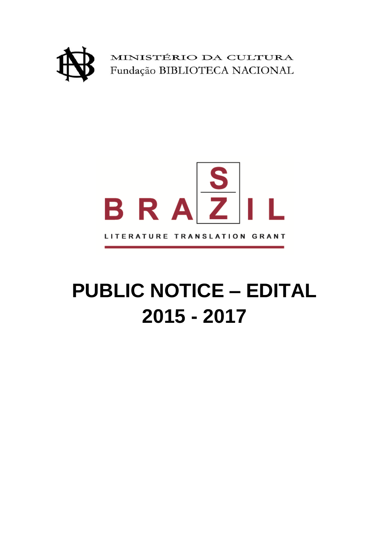



# **PUBLIC NOTICE – EDITAL 2015 - 2017**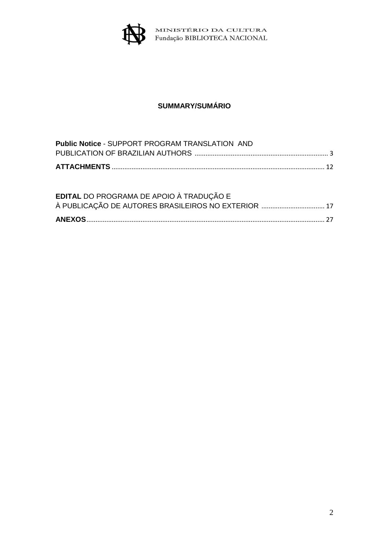

# **SUMMARY/SUMÁRIO**

| <b>Public Notice - SUPPORT PROGRAM TRANSLATION AND</b> |  |
|--------------------------------------------------------|--|
|                                                        |  |
|                                                        |  |
|                                                        |  |
|                                                        |  |
| EDITAL DO PROGRAMA DE APOIO À TRADUÇÃO E               |  |
| À PUBLICAÇÃO DE AUTORES BRASILEIROS NO EXTERIOR  17    |  |
|                                                        |  |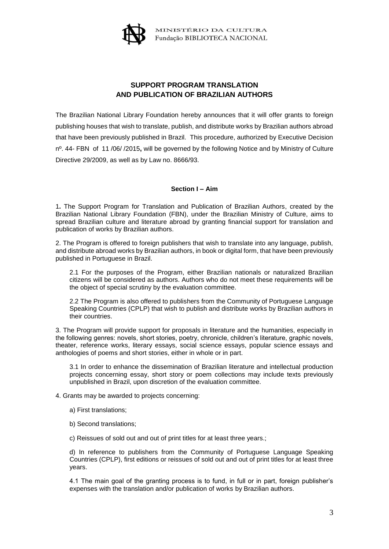

## **SUPPORT PROGRAM TRANSLATION AND PUBLICATION OF BRAZILIAN AUTHORS**

The Brazilian National Library Foundation hereby announces that it will offer grants to foreign publishing houses that wish to translate, publish, and distribute works by Brazilian authors abroad that have been previously published in Brazil. This procedure, authorized by Executive Decision nº. 44- FBN of 11 /06/ /2015**,** will be governed by the following Notice and by Ministry of Culture Directive 29/2009, as well as by Law no. 8666/93.

#### **Section I – Aim**

1**.** The Support Program for Translation and Publication of Brazilian Authors, created by the Brazilian National Library Foundation (FBN), under the Brazilian Ministry of Culture, aims to spread Brazilian culture and literature abroad by granting financial support for translation and publication of works by Brazilian authors.

2. The Program is offered to foreign publishers that wish to translate into any language, publish, and distribute abroad works by Brazilian authors, in book or digital form, that have been previously published in Portuguese in Brazil.

2.1 For the purposes of the Program, either Brazilian nationals or naturalized Brazilian citizens will be considered as authors. Authors who do not meet these requirements will be the object of special scrutiny by the evaluation committee.

2.2 The Program is also offered to publishers from the Community of Portuguese Language Speaking Countries (CPLP) that wish to publish and distribute works by Brazilian authors in their countries.

3. The Program will provide support for proposals in literature and the humanities, especially in the following genres: novels, short stories, poetry, chronicle, children's literature, graphic novels, theater, reference works, literary essays, social science essays, popular science essays and anthologies of poems and short stories, either in whole or in part.

3.1 In order to enhance the dissemination of Brazilian literature and intellectual production projects concerning essay, short story or poem collections may include texts previously unpublished in Brazil, upon discretion of the evaluation committee.

4. Grants may be awarded to projects concerning:

- a) First translations;
- b) Second translations;

c) Reissues of sold out and out of print titles for at least three years.;

d) In reference to publishers from the Community of Portuguese Language Speaking Countries (CPLP), first editions or reissues of sold out and out of print titles for at least three years.

4.1 The main goal of the granting process is to fund, in full or in part, foreign publisher's expenses with the translation and/or publication of works by Brazilian authors.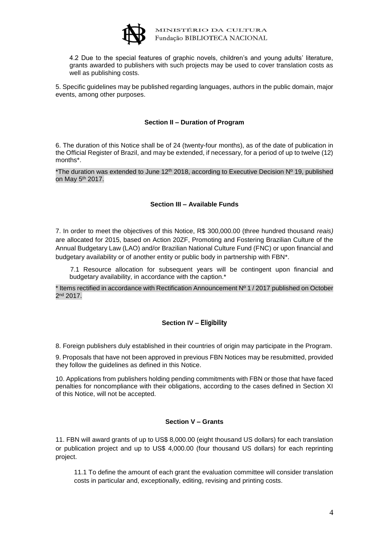

4.2 Due to the special features of graphic novels, children's and young adults' literature, grants awarded to publishers with such projects may be used to cover translation costs as well as publishing costs.

5. Specific guidelines may be published regarding languages, authors in the public domain, major events, among other purposes.

#### **Section II – Duration of Program**

6. The duration of this Notice shall be of 24 (twenty-four months), as of the date of publication in the Official Register of Brazil, and may be extended, if necessary, for a period of up to twelve (12) months\*.

\*The duration was extended to June 12<sup>th</sup> 2018, according to Executive Decision  $N^{\circ}$  19, published on May 5th 2017.

#### **Section III – Available Funds**

7. In order to meet the objectives of this Notice, R\$ 300,000.00 (three hundred thousand *reais)*  are allocated for 2015, based on Action 20ZF, Promoting and Fostering Brazilian Culture of the Annual Budgetary Law (LAO) and/or Brazilian National Culture Fund (FNC) or upon financial and budgetary availability or of another entity or public body in partnership with FBN\*.

 7.1 Resource allocation for subsequent years will be contingent upon financial and budgetary availability, in accordance with the caption.\*

 $*$  Items rectified in accordance with Rectification Announcement  $N^{\circ}$  1 / 2017 published on October 2 nd 2017.

#### **Section IV – Eligibility**

8. Foreign publishers duly established in their countries of origin may participate in the Program.

9. Proposals that have not been approved in previous FBN Notices may be resubmitted, provided they follow the guidelines as defined in this Notice.

10. Applications from publishers holding pending commitments with FBN or those that have faced penalties for noncompliance with their obligations, according to the cases defined in Section XI of this Notice, will not be accepted.

#### **Section V – Grants**

11. FBN will award grants of up to US\$ 8,000.00 (eight thousand US dollars) for each translation or publication project and up to US\$ 4,000.00 (four thousand US dollars) for each reprinting project.

11.1 To define the amount of each grant the evaluation committee will consider translation costs in particular and, exceptionally, editing, revising and printing costs.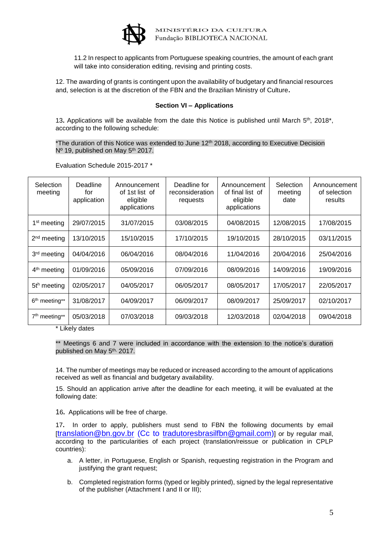

11.2 In respect to applicants from Portuguese speaking countries, the amount of each grant will take into consideration editing, revising and printing costs.

12. The awarding of grants is contingent upon the availability of budgetary and financial resources and, selection is at the discretion of the FBN and the Brazilian Ministry of Culture**.**

#### **Section VI – Applications**

13. Applications will be available from the date this Notice is published until March 5<sup>th</sup>, 2018<sup>\*</sup>, according to the following schedule:

\*The duration of this Notice was extended to June  $12<sup>th</sup>$  2018, according to Executive Decision Nº 19, published on May 5<sup>th</sup> 2017.

| Selection<br>meeting      | Deadline<br>for<br>application | Announcement<br>of 1st list of<br>eligible<br>applications | Deadline for<br>reconsideration<br>requests | Announcement<br>of final list of<br>eligible<br>applications | Selection<br>meeting<br>date | Announcement<br>of selection<br>results |
|---------------------------|--------------------------------|------------------------------------------------------------|---------------------------------------------|--------------------------------------------------------------|------------------------------|-----------------------------------------|
| 1 <sup>st</sup> meeting   | 29/07/2015                     | 31/07/2015                                                 | 03/08/2015                                  | 04/08/2015                                                   | 12/08/2015                   | 17/08/2015                              |
| $2nd$ meeting             | 13/10/2015                     | 15/10/2015                                                 | 17/10/2015                                  | 19/10/2015                                                   | 28/10/2015                   | 03/11/2015                              |
| 3 <sup>rd</sup> meeting   | 04/04/2016                     | 06/04/2016                                                 | 08/04/2016                                  | 11/04/2016                                                   | 20/04/2016                   | 25/04/2016                              |
| 4 <sup>th</sup> meeting   | 01/09/2016                     | 05/09/2016                                                 | 07/09/2016                                  | 08/09/2016                                                   | 14/09/2016                   | 19/09/2016                              |
| $5th$ meeting             | 02/05/2017                     | 04/05/2017                                                 | 06/05/2017                                  | 08/05/2017                                                   | 17/05/2017                   | 22/05/2017                              |
| 6 <sup>th</sup> meeting** | 31/08/2017                     | 04/09/2017                                                 | 06/09/2017                                  | 08/09/2017                                                   | 25/09/2017                   | 02/10/2017                              |
| $7th$ meeting**           | 05/03/2018                     | 07/03/2018                                                 | 09/03/2018                                  | 12/03/2018                                                   | 02/04/2018                   | 09/04/2018                              |

Evaluation Schedule 2015-2017 \*

\* Likely dates

\*\* Meetings 6 and 7 were included in accordance with the extension to the notice's duration published on May 5<sup>th,</sup> 2017.

14. The number of meetings may be reduced or increased according to the amount of applications received as well as financial and budgetary availability.

15. Should an application arrive after the deadline for each meeting, it will be evaluated at the following date:

16**.** Applications will be free of charge.

17**.** In order to apply, publishers must send to FBN the following documents by email  $[translation@bn.gov.br]$  $[translation@bn.gov.br]$  $[translation@bn.gov.br]$  (Cc to tradutoresbrasilfbn @gmail.com)] or by regular mail. according to the particularities of each project (translation/reissue or publication in CPLP countries):

- a. A letter, in Portuguese, English or Spanish, requesting registration in the Program and justifying the grant request;
- b. Completed registration forms (typed or legibly printed), signed by the legal representative of the publisher (Attachment I and II or III);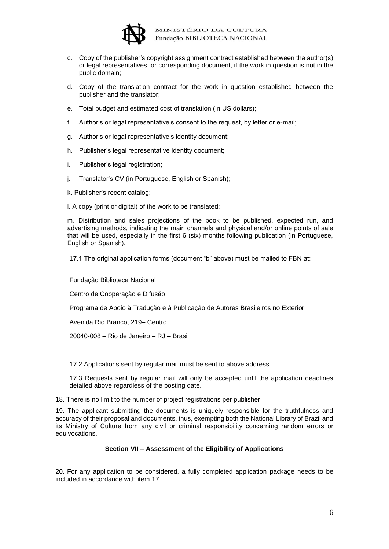

- c. Copy of the publisher's copyright assignment contract established between the author(s) or legal representatives, or corresponding document, if the work in question is not in the public domain;
- d. Copy of the translation contract for the work in question established between the publisher and the translator;
- e. Total budget and estimated cost of translation (in US dollars);
- f. Author's or legal representative's consent to the request, by letter or e-mail;
- g. Author's or legal representative's identity document;
- h. Publisher's legal representative identity document;
- i. Publisher's legal registration;
- j. Translator's CV (in Portuguese, English or Spanish);
- k. Publisher's recent catalog;
- l. A copy (print or digital) of the work to be translated;

m. Distribution and sales projections of the book to be published, expected run, and advertising methods, indicating the main channels and physical and/or online points of sale that will be used, especially in the first 6 (six) months following publication (in Portuguese, English or Spanish).

17.1 The original application forms (document "b" above) must be mailed to FBN at:

Fundação Biblioteca Nacional

Centro de Cooperação e Difusão

Programa de Apoio à Tradução e à Publicação de Autores Brasileiros no Exterior

Avenida Rio Branco, 219– Centro

20040-008 – Rio de Janeiro – RJ – Brasil

17.2 Applications sent by regular mail must be sent to above address.

17.3 Requests sent by regular mail will only be accepted until the application deadlines detailed above regardless of the posting date.

18. There is no limit to the number of project registrations per publisher.

19**.** The applicant submitting the documents is uniquely responsible for the truthfulness and accuracy of their proposal and documents, thus, exempting both the National Library of Brazil and its Ministry of Culture from any civil or criminal responsibility concerning random errors or equivocations.

#### **Section VII – Assessment of the Eligibility of Applications**

20. For any application to be considered, a fully completed application package needs to be included in accordance with item 17.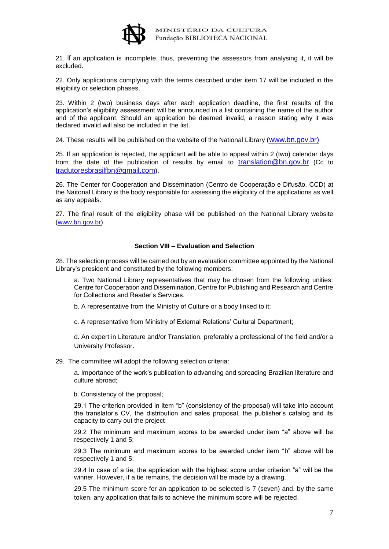

21. If an application is incomplete, thus, preventing the assessors from analysing it, it will be excluded.

22. Only applications complying with the terms described under item 17 will be included in the eligibility or selection phases.

23. Within 2 (two) business days after each application deadline, the first results of the application's eligibility assessment will be announced in a list containing the name of the author and of the applicant. Should an application be deemed invalid, a reason stating why it was declared invalid will also be included in the list.

24. These results will be published on the website of the National Library ([www.bn.gov.br\)](http://www.bn.gov.br/)

25. If an application is rejected, the applicant will be able to appeal within 2 (two) calendar days from the date of the publication of results by email to [translation@bn.gov.br](mailto:translation@bn.gov.br) (Cc to <tradutoresbrasilfbn@gmail.com>).

26. The Center for Cooperation and Dissemination (Centro de Cooperação e Difusão, CCD) at the Naitonal Library is the body responsible for assessing the eligibility of the applications as well as any appeals.

27. The final result of the eligibility phase will be published on the National Library website [\(www.bn.gov.br\)](http://www.bn.gov.br/).

#### **Section VIII** – **Evaluation and Selection**

28. The selection process will be carried out by an evaluation committee appointed by the National Library's president and constituted by the following members:

a. Two National Library representatives that may be chosen from the following unities: Centre for Cooperation and Dissemination, Centre for Publishing and Research and Centre for Collections and Reader's Services.

b. A representative from the Ministry of Culture or a body linked to it;

c. A representative from Ministry of External Relations' Cultural Department;

d. An expert in Literature and/or Translation, preferably a professional of the field and/or a University Professor.

29. The committee will adopt the following selection criteria:

a. Importance of the work's publication to advancing and spreading Brazilian literature and culture abroad;

b. Consistency of the proposal;

29.1 The criterion provided in item "b" (consistency of the proposal) will take into account the translator's CV, the distribution and sales proposal, the publisher's catalog and its capacity to carry out the project

29.2 The minimum and maximum scores to be awarded under item "a" above will be respectively 1 and 5;

29.3 The minimum and maximum scores to be awarded under item "b" above will be respectively 1 and 5;

29.4 In case of a tie, the application with the highest score under criterion "a" will be the winner. However, if a tie remains, the decision will be made by a drawing.

29.5 The minimum score for an application to be selected is 7 (seven) and, by the same token, any application that fails to achieve the minimum score will be rejected.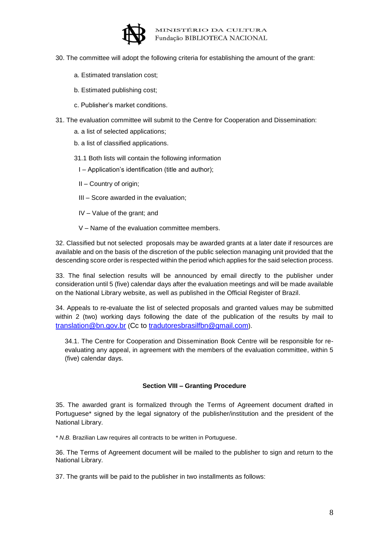

- 30. The committee will adopt the following criteria for establishing the amount of the grant:
	- a. Estimated translation cost;
	- b. Estimated publishing cost;
	- c. Publisher's market conditions.
- 31. The evaluation committee will submit to the Centre for Cooperation and Dissemination:
	- a. a list of selected applications;
	- b. a list of classified applications.
	- 31.1 Both lists will contain the following information
		- I Application's identification (title and author);
		- II Country of origin;
		- III Score awarded in the evaluation;
		- IV Value of the grant; and
		- V Name of the evaluation committee members.

32. Classified but not selected proposals may be awarded grants at a later date if resources are available and on the basis of the discretion of the public selection managing unit provided that the descending score order is respected within the period which applies for the said selection process.

33. The final selection results will be announced by email directly to the publisher under consideration until 5 (five) calendar days after the evaluation meetings and will be made available on the National Library website, as well as published in the Official Register of Brazil.

34. Appeals to re-evaluate the list of selected proposals and granted values may be submitted within 2 (two) working days following the date of the publication of the results by mail to [translation@bn.gov.br](mailto:translation@bn.gov.br) (Cc to<tradutoresbrasilfbn@gmail.com>).

34.1. The Centre for Cooperation and Dissemination Book Centre will be responsible for reevaluating any appeal, in agreement with the members of the evaluation committee, within 5 (five) calendar days.

#### **Section VIII – Granting Procedure**

35. The awarded grant is formalized through the Terms of Agreement document drafted in Portuguese\* signed by the legal signatory of the publisher/institution and the president of the National Library.

*\* N.B.* Brazilian Law requires all contracts to be written in Portuguese.

36. The Terms of Agreement document will be mailed to the publisher to sign and return to the National Library.

37. The grants will be paid to the publisher in two installments as follows: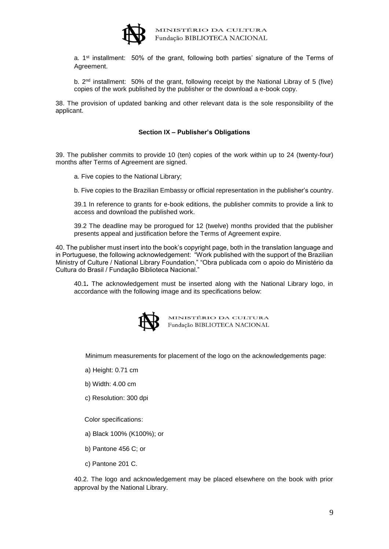

a. 1<sup>st</sup> installment: 50% of the grant, following both parties' signature of the Terms of Agreement.

b. 2<sup>nd</sup> installment: 50% of the grant, following receipt by the National Libray of 5 (five) copies of the work published by the publisher or the download a e-book copy.

38. The provision of updated banking and other relevant data is the sole responsibility of the applicant.

#### **Section IX – Publisher's Obligations**

39. The publisher commits to provide 10 (ten) copies of the work within up to 24 (twenty-four) months after Terms of Agreement are signed.

- a. Five copies to the National Library;
- b. Five copies to the Brazilian Embassy or official representation in the publisher's country.

39.1 In reference to grants for e-book editions, the publisher commits to provide a link to access and download the published work.

39.2 The deadline may be prorogued for 12 (twelve) months provided that the publisher presents appeal and justification before the Terms of Agreement expire.

40. The publisher must insert into the book's copyright page, both in the translation language and in Portuguese, the following acknowledgement: "Work published with the support of the Brazilian Ministry of Culture / National Library Foundation," "Obra publicada com o apoio do Ministério da Cultura do Brasil / Fundação Biblioteca Nacional."

40.1**.** The acknowledgement must be inserted along with the National Library logo, in accordance with the following image and its specifications below:



MINISTÉRIO DA CULTURA<br>Fundação BIBLIOTECA NACIONAL

Minimum measurements for placement of the logo on the acknowledgements page:

- a) Height: 0.71 cm
- b) Width: 4.00 cm
- c) Resolution: 300 dpi

Color specifications:

- a) Black 100% (K100%); or
- b) Pantone 456 C; or
- c) Pantone 201 C.

40.2. The logo and acknowledgement may be placed elsewhere on the book with prior approval by the National Library.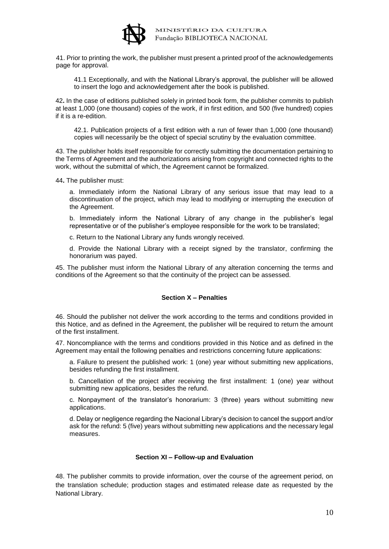

41. Prior to printing the work, the publisher must present a printed proof of the acknowledgements page for approval.

41.1 Exceptionally, and with the National Library's approval, the publisher will be allowed to insert the logo and acknowledgement after the book is published.

42**.** In the case of editions published solely in printed book form, the publisher commits to publish at least 1,000 (one thousand) copies of the work, if in first edition, and 500 (five hundred) copies if it is a re-edition.

42.1. Publication projects of a first edition with a run of fewer than 1,000 (one thousand) copies will necessarily be the object of special scrutiny by the evaluation committee.

43. The publisher holds itself responsible for correctly submitting the documentation pertaining to the Terms of Agreement and the authorizations arising from copyright and connected rights to the work, without the submittal of which, the Agreement cannot be formalized.

44**.** The publisher must:

a. Immediately inform the National Library of any serious issue that may lead to a discontinuation of the project, which may lead to modifying or interrupting the execution of the Agreement.

b. Immediately inform the National Library of any change in the publisher's legal representative or of the publisher's employee responsible for the work to be translated;

c. Return to the National Library any funds wrongly received.

d. Provide the National Library with a receipt signed by the translator, confirming the honorarium was payed.

45. The publisher must inform the National Library of any alteration concerning the terms and conditions of the Agreement so that the continuity of the project can be assessed.

#### **Section X – Penalties**

46. Should the publisher not deliver the work according to the terms and conditions provided in this Notice, and as defined in the Agreement, the publisher will be required to return the amount of the first installment.

47. Noncompliance with the terms and conditions provided in this Notice and as defined in the Agreement may entail the following penalties and restrictions concerning future applications:

a. Failure to present the published work: 1 (one) year without submitting new applications, besides refunding the first installment.

b. Cancellation of the project after receiving the first installment: 1 (one) year without submitting new applications, besides the refund.

c. Nonpayment of the translator's honorarium: 3 (three) years without submitting new applications.

d. Delay or negligence regarding the Nacional Library's decision to cancel the support and/or ask for the refund: 5 (five) years without submitting new applications and the necessary legal measures.

#### **Section XI – Follow-up and Evaluation**

48. The publisher commits to provide information, over the course of the agreement period, on the translation schedule; production stages and estimated release date as requested by the National Library.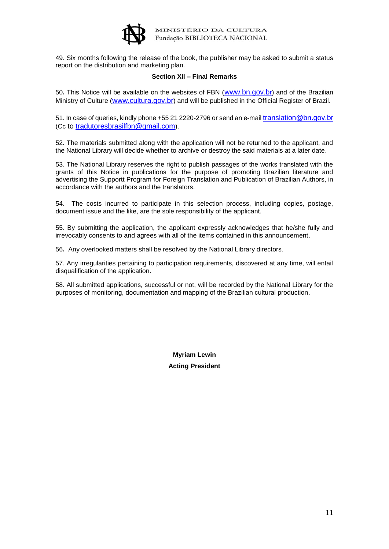

49. Six months following the release of the book, the publisher may be asked to submit a status report on the distribution and marketing plan.

#### **Section XII – Final Remarks**

50**.** This Notice will be available on the websites of FBN ([www.bn.gov.b](http://www.bn.gov.br/)r) and of the Brazilian Ministry of Culture ([www.cultura.gov.br](http://www.cultura.gov.br/)) and will be published in the Official Register of Brazil.

51. In case of queries, kindly phone +55 21 2220-2796 or send an e-mail [translation@bn.gov.br](mailto:translation@bn.gov.br) (Cc to<tradutoresbrasilfbn@gmail.com>).

52**.** The materials submitted along with the application will not be returned to the applicant, and the National Library will decide whether to archive or destroy the said materials at a later date.

53. The National Library reserves the right to publish passages of the works translated with the grants of this Notice in publications for the purpose of promoting Brazilian literature and advertising the Supportt Program for Foreign Translation and Publication of Brazilian Authors, in accordance with the authors and the translators.

54. The costs incurred to participate in this selection process, including copies, postage, document issue and the like, are the sole responsibility of the applicant.

55. By submitting the application, the applicant expressly acknowledges that he/she fully and irrevocably consents to and agrees with all of the items contained in this announcement.

56**.** Any overlooked matters shall be resolved by the National Library directors.

57. Any irregularities pertaining to participation requirements, discovered at any time, will entail disqualification of the application.

58. All submitted applications, successful or not, will be recorded by the National Library for the purposes of monitoring, documentation and mapping of the Brazilian cultural production.

> **Myriam Lewin Acting President**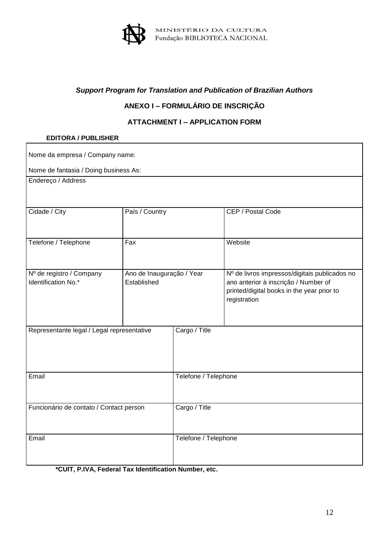

# *Support Program for Translation and Publication of Brazilian Authors*

# **ANEXO I – FORMULÁRIO DE INSCRIÇÃO**

## **ATTACHMENT I – APPLICATION FORM**

#### **EDITORA / PUBLISHER**

| Nome da empresa / Company name:                 |                                          |                      |                                                                                                                                                     |  |  |  |
|-------------------------------------------------|------------------------------------------|----------------------|-----------------------------------------------------------------------------------------------------------------------------------------------------|--|--|--|
| Nome de fantasia / Doing business As:           |                                          |                      |                                                                                                                                                     |  |  |  |
| Endereço / Address                              |                                          |                      |                                                                                                                                                     |  |  |  |
| Cidade / City                                   | País / Country                           |                      | CEP / Postal Code                                                                                                                                   |  |  |  |
| Telefone / Telephone                            | Fax                                      |                      | Website                                                                                                                                             |  |  |  |
| Nº de registro / Company<br>Identification No.* | Ano de Inauguração / Year<br>Established |                      | Nº de livros impressos/digitais publicados no<br>ano anterior à inscrição / Number of<br>printed/digital books in the year prior to<br>registration |  |  |  |
| Representante legal / Legal representative      |                                          | Cargo / Title        |                                                                                                                                                     |  |  |  |
| Email                                           |                                          | Telefone / Telephone |                                                                                                                                                     |  |  |  |
| Funcionário de contato / Contact person         |                                          | Cargo / Title        |                                                                                                                                                     |  |  |  |
| Email                                           |                                          | Telefone / Telephone |                                                                                                                                                     |  |  |  |

**\*CUIT, P.IVA, Federal Tax Identification Number, etc.**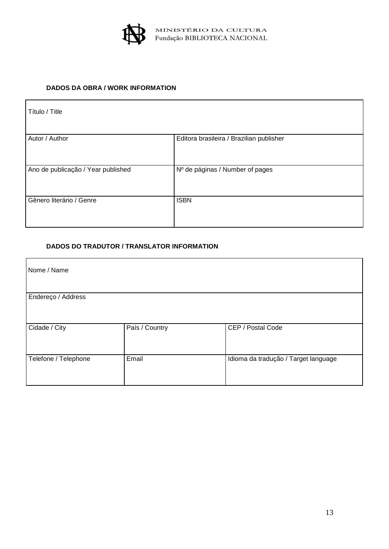

#### **DADOS DA OBRA / WORK INFORMATION**

| Título / Title                     |                                          |
|------------------------------------|------------------------------------------|
| Autor / Author                     | Editora brasileira / Brazilian publisher |
| Ano de publicação / Year published | Nº de páginas / Number of pages          |
| Gênero literário / Genre           | <b>ISBN</b>                              |

## **DADOS DO TRADUTOR / TRANSLATOR INFORMATION**

| Nome / Name          |                |                                      |
|----------------------|----------------|--------------------------------------|
| Endereço / Address   |                |                                      |
| Cidade / City        | País / Country | CEP / Postal Code                    |
| Telefone / Telephone | Email          | Idioma da tradução / Target language |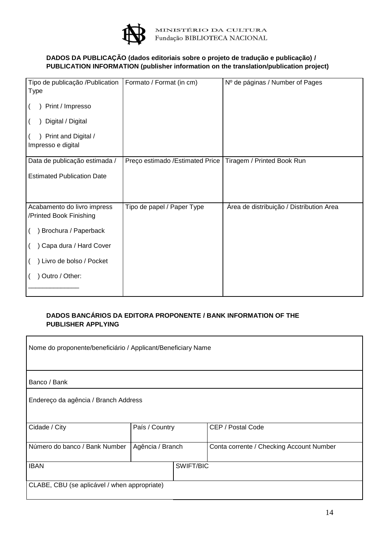

## **DADOS DA PUBLICAÇÃO (dados editoriais sobre o projeto de tradução e publicação) / PUBLICATION INFORMATION (publisher information on the translation/publication project)**

| Tipo de publicação /Publication                        | Formato / Format (in cm)         | Nº de páginas / Number of Pages          |
|--------------------------------------------------------|----------------------------------|------------------------------------------|
| Type                                                   |                                  |                                          |
| Print / Impresso                                       |                                  |                                          |
| Digital / Digital                                      |                                  |                                          |
| Print and Digital /<br>Impresso e digital              |                                  |                                          |
| Data de publicação estimada /                          | Preço estimado / Estimated Price | Tiragem / Printed Book Run               |
| <b>Estimated Publication Date</b>                      |                                  |                                          |
|                                                        |                                  |                                          |
| Acabamento do livro impress<br>/Printed Book Finishing | Tipo de papel / Paper Type       | Área de distribuição / Distribution Area |
| Brochura / Paperback                                   |                                  |                                          |
| Capa dura / Hard Cover                                 |                                  |                                          |
| ) Livro de bolso / Pocket                              |                                  |                                          |
| Outro / Other:                                         |                                  |                                          |
|                                                        |                                  |                                          |

#### **DADOS BANCÁRIOS DA EDITORA PROPONENTE / BANK INFORMATION OF THE PUBLISHER APPLYING**

| Nome do proponente/beneficiário / Applicant/Beneficiary Name |                  |                                          |  |  |  |  |  |
|--------------------------------------------------------------|------------------|------------------------------------------|--|--|--|--|--|
| Banco / Bank                                                 |                  |                                          |  |  |  |  |  |
| Endereço da agência / Branch Address                         |                  |                                          |  |  |  |  |  |
| Cidade / City                                                | País / Country   | CEP / Postal Code                        |  |  |  |  |  |
| Número do banco / Bank Number                                | Agência / Branch | Conta corrente / Checking Account Number |  |  |  |  |  |
| <b>IBAN</b>                                                  | SWIFT/BIC        |                                          |  |  |  |  |  |
| CLABE, CBU (se aplicável / when appropriate)                 |                  |                                          |  |  |  |  |  |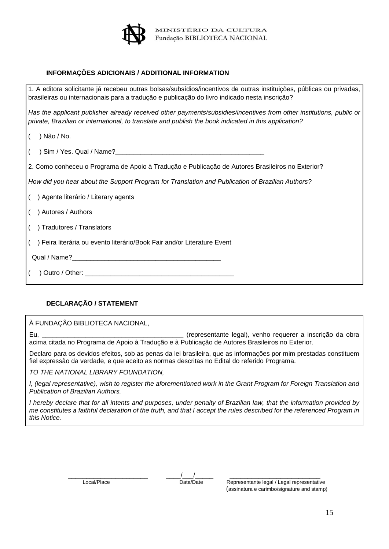

#### **INFORMAÇÕES ADICIONAIS / ADDITIONAL INFORMATION**

| 1. A editora solicitante já recebeu outras bolsas/subsídios/incentivos de outras instituições, públicas ou privadas,<br>brasileiras ou internacionais para a tradução e publicação do livro indicado nesta inscrição?        |  |  |  |  |  |
|------------------------------------------------------------------------------------------------------------------------------------------------------------------------------------------------------------------------------|--|--|--|--|--|
| Has the applicant publisher already received other payments/subsidies/incentives from other institutions, public or<br>private, Brazilian or international, to translate and publish the book indicated in this application? |  |  |  |  |  |
| ) Não / No.                                                                                                                                                                                                                  |  |  |  |  |  |
|                                                                                                                                                                                                                              |  |  |  |  |  |
| 2. Como conheceu o Programa de Apoio à Tradução e Publicação de Autores Brasileiros no Exterior?                                                                                                                             |  |  |  |  |  |
| How did you hear about the Support Program for Translation and Publication of Brazilian Authors?                                                                                                                             |  |  |  |  |  |
| () Agente literário / Literary agents                                                                                                                                                                                        |  |  |  |  |  |
| ) Autores / Authors                                                                                                                                                                                                          |  |  |  |  |  |
| ) Tradutores / Translators                                                                                                                                                                                                   |  |  |  |  |  |
| ) Feira literária ou evento literário/Book Fair and/or Literature Event                                                                                                                                                      |  |  |  |  |  |
|                                                                                                                                                                                                                              |  |  |  |  |  |
|                                                                                                                                                                                                                              |  |  |  |  |  |

#### **DECLARAÇÃO / STATEMENT**

À FUNDAÇÃO BIBLIOTECA NACIONAL,

Eu, \_\_\_\_\_\_\_\_\_\_\_\_\_\_\_\_\_\_\_\_\_\_\_\_\_\_\_\_\_\_\_\_\_\_\_\_\_\_\_ (representante legal), venho requerer a inscrição da obra acima citada no Programa de Apoio à Tradução e à Publicação de Autores Brasileiros no Exterior.

Declaro para os devidos efeitos, sob as penas da lei brasileira, que as informações por mim prestadas constituem fiel expressão da verdade, e que aceito as normas descritas no Edital do referido Programa.

*TO THE NATIONAL LIBRARY FOUNDATION,*

*I, (legal representative), wish to register the aforementioned work in the Grant Program for Foreign Translation and Publication of Brazilian Authors.* 

*I hereby declare that for all intents and purposes, under penalty of Brazilian law, that the information provided by me constitutes a faithful declaration of the truth, and that I accept the rules described for the referenced Program in this Notice.* 

\_\_\_\_\_\_\_\_\_\_\_\_\_\_\_\_\_\_\_\_\_\_ \_\_\_\_/\_\_\_/\_\_\_\_\_ \_\_\_\_\_\_\_\_\_\_\_\_\_\_\_\_\_\_\_\_\_\_\_\_\_

 Local/Place Data/Date Representante legal / Legal representative (assinatura e carimbo/signature and stamp)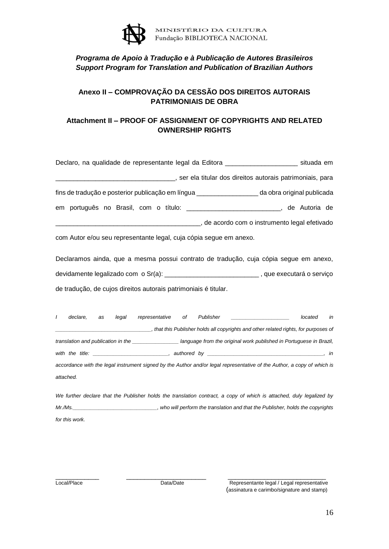

# *Programa de Apoio à Tradução e à Publicação de Autores Brasileiros Support Program for Translation and Publication of Brazilian Authors*

# **Anexo II – COMPROVAÇÃO DA CESSÃO DOS DIREITOS AUTORAIS PATRIMONIAIS DE OBRA**

## **Attachment II – PROOF OF ASSIGNMENT OF COPYRIGHTS AND RELATED OWNERSHIP RIGHTS**

| Declaro, na qualidade de representante legal da Editora _____  |                                                          | situada em                 |
|----------------------------------------------------------------|----------------------------------------------------------|----------------------------|
|                                                                | ser ela titular dos direitos autorais patrimoniais, para |                            |
| fins de tradução e posterior publicação em língua ____________ |                                                          | da obra original publicada |
| em português no Brasil, com o título: _____                    |                                                          | o de Autoria de            |
|                                                                | , de acordo com o instrumento legal efetivado            |                            |

com Autor e/ou seu representante legal, cuja cópia segue em anexo.

Declaramos ainda, que a mesma possui contrato de tradução, cuja cópia segue em anexo, devidamente legalizado com o Sr(a): \_\_\_\_\_\_\_\_\_\_\_\_\_\_\_\_\_\_\_\_\_\_\_\_\_\_\_\_\_\_\_\_\_, que executará o serviço de tradução, de cujos direitos autorais patrimoniais é titular.

| declare.  | as | legal | representative                                                                                                 | оf | Publisher |                                                                                                                                                                                                                                | located | in |
|-----------|----|-------|----------------------------------------------------------------------------------------------------------------|----|-----------|--------------------------------------------------------------------------------------------------------------------------------------------------------------------------------------------------------------------------------|---------|----|
|           |    |       |                                                                                                                |    |           | that this Publisher holds all copyrights and other related rights, for purposes of                                                                                                                                             |         |    |
|           |    |       | translation and publication in the                                                                             |    |           | language from the original work published in Portuguese in Brazil,                                                                                                                                                             |         |    |
|           |    |       | with the title: with the state of the state of the state of the state of the state of the state of the state o |    |           | authored by the contract of the contract of the contract of the contract of the contract of the contract of the contract of the contract of the contract of the contract of the contract of the contract of the contract of th |         | in |
|           |    |       |                                                                                                                |    |           | accordance with the legal instrument signed by the Author and/or legal representative of the Author, a copy of which is                                                                                                        |         |    |
| attached. |    |       |                                                                                                                |    |           |                                                                                                                                                                                                                                |         |    |

We further declare that the Publisher holds the translation contract, a copy of which is attached, duly legalized by *Mr./Ms.\_\_\_\_\_\_\_\_\_\_\_\_\_\_\_\_\_\_\_\_\_\_\_\_\_\_\_\_\_, who will perform the translation and that the Publisher, holds the copyrights for this work.*

\_\_\_\_\_\_\_\_\_\_\_\_ \_\_\_\_\_\_\_\_\_\_\_\_\_\_\_\_\_\_\_\_\_\_ \_\_\_\_\_\_\_\_\_\_\_\_\_\_\_\_\_\_\_\_\_\_\_\_\_\_\_ Local/Place Data/Date Data/Date Representante legal / Legal representative (assinatura e carimbo/signature and stamp)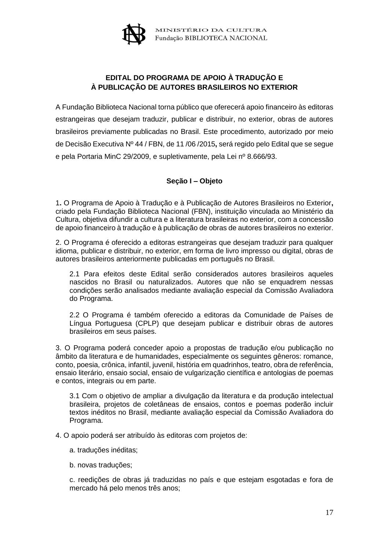

# **EDITAL DO PROGRAMA DE APOIO À TRADUÇÃO E À PUBLICAÇÃO DE AUTORES BRASILEIROS NO EXTERIOR**

A Fundação Biblioteca Nacional torna público que oferecerá apoio financeiro às editoras estrangeiras que desejam traduzir, publicar e distribuir, no exterior, obras de autores brasileiros previamente publicadas no Brasil. Este procedimento, autorizado por meio de Decisão Executiva Nº 44 / FBN, de 11 /06 /2015**,** será regido pelo Edital que se segue e pela Portaria MinC 29/2009, e supletivamente, pela Lei nº 8.666/93.

## **Seção I – Objeto**

1**.** O Programa de Apoio à Tradução e à Publicação de Autores Brasileiros no Exterior**,**  criado pela Fundação Biblioteca Nacional (FBN), instituição vinculada ao Ministério da Cultura, objetiva difundir a cultura e a literatura brasileiras no exterior, com a concessão de apoio financeiro à tradução e à publicação de obras de autores brasileiros no exterior.

2. O Programa é oferecido a editoras estrangeiras que desejam traduzir para qualquer idioma, publicar e distribuir, no exterior, em forma de livro impresso ou digital, obras de autores brasileiros anteriormente publicadas em português no Brasil.

2.1 Para efeitos deste Edital serão considerados autores brasileiros aqueles nascidos no Brasil ou naturalizados. Autores que não se enquadrem nessas condições serão analisados mediante avaliação especial da Comissão Avaliadora do Programa.

2.2 O Programa é também oferecido a editoras da Comunidade de Países de Língua Portuguesa (CPLP) que desejam publicar e distribuir obras de autores brasileiros em seus países.

3. O Programa poderá conceder apoio a propostas de tradução e/ou publicação no âmbito da literatura e de humanidades, especialmente os seguintes gêneros: romance, conto, poesia, crônica, infantil, juvenil, história em quadrinhos, teatro, obra de referência, ensaio literário, ensaio social, ensaio de vulgarização científica e antologias de poemas e contos, integrais ou em parte.

3.1 Com o objetivo de ampliar a divulgação da literatura e da produção intelectual brasileira, projetos de coletâneas de ensaios, contos e poemas poderão incluir textos inéditos no Brasil, mediante avaliação especial da Comissão Avaliadora do Programa.

4. O apoio poderá ser atribuído às editoras com projetos de:

- a. traduções inéditas;
- b. novas traduções;

c. reedições de obras já traduzidas no país e que estejam esgotadas e fora de mercado há pelo menos três anos;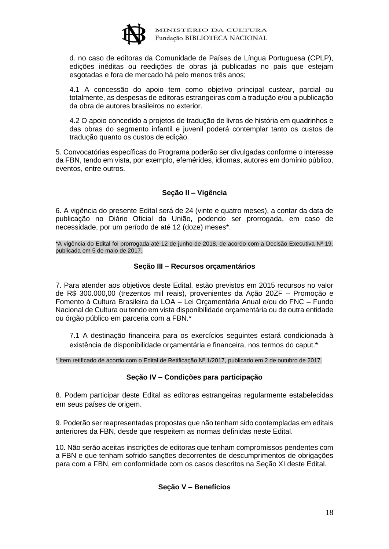

d. no caso de editoras da Comunidade de Países de Língua Portuguesa (CPLP), edições inéditas ou reedições de obras já publicadas no país que estejam esgotadas e fora de mercado há pelo menos três anos;

4.1 A concessão do apoio tem como objetivo principal custear, parcial ou totalmente, as despesas de editoras estrangeiras com a tradução e/ou a publicação da obra de autores brasileiros no exterior.

4.2 O apoio concedido a projetos de tradução de livros de história em quadrinhos e das obras do segmento infantil e juvenil poderá contemplar tanto os custos de tradução quanto os custos de edição.

5. Convocatórias específicas do Programa poderão ser divulgadas conforme o interesse da FBN, tendo em vista, por exemplo, efemérides, idiomas, autores em domínio público, eventos, entre outros.

## **Seção II – Vigência**

6. A vigência do presente Edital será de 24 (vinte e quatro meses), a contar da data de publicação no Diário Oficial da União, podendo ser prorrogada, em caso de necessidade, por um período de até 12 (doze) meses\*.

\*A vigência do Edital foi prorrogada até 12 de junho de 2018, de acordo com a Decisão Executiva Nº 19, publicada em 5 de maio de 2017.

#### **Seção III – Recursos orçamentários**

7. Para atender aos objetivos deste Edital, estão previstos em 2015 recursos no valor de R\$ 300.000,00 (trezentos mil reais), provenientes da Ação 20ZF – Promoção e Fomento à Cultura Brasileira da LOA – Lei Orçamentária Anual e/ou do FNC – Fundo Nacional de Cultura ou tendo em vista disponibilidade orçamentária ou de outra entidade ou órgão público em parceria com a FBN.\*

7.1 A destinação financeira para os exercícios seguintes estará condicionada à existência de disponibilidade orçamentária e financeira, nos termos do caput.\*

\* Item retificado de acordo com o Edital de Retificação Nº 1/2017, publicado em 2 de outubro de 2017.

#### **Seção IV – Condições para participação**

8. Podem participar deste Edital as editoras estrangeiras regularmente estabelecidas em seus países de origem.

9. Poderão ser reapresentadas propostas que não tenham sido contempladas em editais anteriores da FBN, desde que respeitem as normas definidas neste Edital.

10. Não serão aceitas inscrições de editoras que tenham compromissos pendentes com a FBN e que tenham sofrido sanções decorrentes de descumprimentos de obrigações para com a FBN, em conformidade com os casos descritos na Seção XI deste Edital.

#### **Seção V – Benefícios**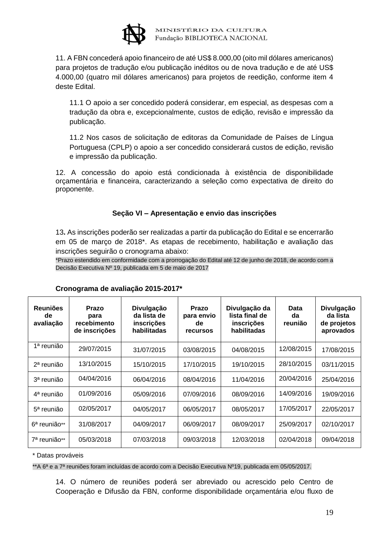

11. A FBN concederá apoio financeiro de até US\$ 8.000,00 (oito mil dólares americanos) para projetos de tradução e/ou publicação inéditos ou de nova tradução e de até US\$ 4.000,00 (quatro mil dólares americanos) para projetos de reedição, conforme item 4 deste Edital.

11.1 O apoio a ser concedido poderá considerar, em especial, as despesas com a tradução da obra e, excepcionalmente, custos de edição, revisão e impressão da publicação.

11.2 Nos casos de solicitação de editoras da Comunidade de Países de Língua Portuguesa (CPLP) o apoio a ser concedido considerará custos de edição, revisão e impressão da publicação.

12. A concessão do apoio está condicionada à existência de disponibilidade orçamentária e financeira, caracterizando a seleção como expectativa de direito do proponente.

## **Seção VI – Apresentação e envio das inscrições**

13**.** As inscrições poderão ser realizadas a partir da publicação do Edital e se encerrarão em 05 de março de 2018\*. As etapas de recebimento, habilitação e avaliação das inscrições seguirão o cronograma abaixo:

\*Prazo estendido em conformidade com a prorrogação do Edital até 12 de junho de 2018, de acordo com a Decisão Executiva Nº 19, publicada em 5 de maio de 2017

| <b>Reuniões</b><br>de<br>avaliação | Prazo<br>para<br>recebimento<br>de inscrições | Divulgação<br>da lista de<br>inscrições<br>habilitadas | Prazo<br>para envio<br>de<br><b>recursos</b> | Divulgação da<br>lista final de<br>inscrições<br>habilitadas | Data<br>da<br>reunião | Divulgação<br>da lista<br>de projetos<br>aprovados |
|------------------------------------|-----------------------------------------------|--------------------------------------------------------|----------------------------------------------|--------------------------------------------------------------|-----------------------|----------------------------------------------------|
| 1ª reunião                         | 29/07/2015                                    | 31/07/2015                                             | 03/08/2015                                   | 04/08/2015                                                   | 12/08/2015            | 17/08/2015                                         |
| 2 <sup>a</sup> reunião             | 13/10/2015                                    | 15/10/2015                                             | 17/10/2015                                   | 19/10/2015                                                   | 28/10/2015            | 03/11/2015                                         |
| 3ª reunião                         | 04/04/2016                                    | 06/04/2016                                             | 08/04/2016                                   | 11/04/2016                                                   | 20/04/2016            | 25/04/2016                                         |
| 4 <sup>a</sup> reunião             | 01/09/2016                                    | 05/09/2016                                             | 07/09/2016                                   | 08/09/2016                                                   | 14/09/2016            | 19/09/2016                                         |
| 5 <sup>a</sup> reunião             | 02/05/2017                                    | 04/05/2017                                             | 06/05/2017                                   | 08/05/2017                                                   | 17/05/2017            | 22/05/2017                                         |
| 6 <sup>a</sup> reunião**           | 31/08/2017                                    | 04/09/2017                                             | 06/09/2017                                   | 08/09/2017                                                   | 25/09/2017            | 02/10/2017                                         |
| 7ª reunião**                       | 05/03/2018                                    | 07/03/2018                                             | 09/03/2018                                   | 12/03/2018                                                   | 02/04/2018            | 09/04/2018                                         |

#### **Cronograma de avaliação 2015-2017\***

\* Datas prováveis

\*\*A 6ª e a 7ª reuniões foram incluídas de acordo com a Decisão Executiva Nº19, publicada em 05/05/2017.

14. O número de reuniões poderá ser abreviado ou acrescido pelo Centro de Cooperação e Difusão da FBN, conforme disponibilidade orçamentária e/ou fluxo de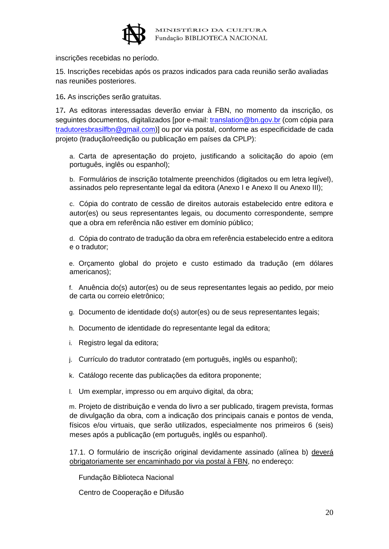

inscrições recebidas no período.

15. Inscrições recebidas após os prazos indicados para cada reunião serão avaliadas nas reuniões posteriores.

16**.** As inscrições serão gratuitas.

17**.** As editoras interessadas deverão enviar à FBN, no momento da inscrição, os seguintes documentos, digitalizados [por e-mail: [translation@bn.gov.br](mailto:translation@bn.gov.br) (com cópia para [tradutoresbrasilfbn@gmail.com\)](tradutoresbrasilfbn@gmail.com)] ou por via postal, conforme as especificidade de cada projeto (tradução/reedição ou publicação em países da CPLP):

a. Carta de apresentação do projeto, justificando a solicitação do apoio (em português, inglês ou espanhol);

b. Formulários de inscrição totalmente preenchidos (digitados ou em letra legível), assinados pelo representante legal da editora (Anexo I e Anexo II ou Anexo III);

c. Cópia do contrato de cessão de direitos autorais estabelecido entre editora e autor(es) ou seus representantes legais, ou documento correspondente, sempre que a obra em referência não estiver em domínio público;

d. Cópia do contrato de tradução da obra em referência estabelecido entre a editora e o tradutor;

e. Orçamento global do projeto e custo estimado da tradução (em dólares americanos);

f. Anuência do(s) autor(es) ou de seus representantes legais ao pedido, por meio de carta ou correio eletrônico;

g. Documento de identidade do(s) autor(es) ou de seus representantes legais;

h. Documento de identidade do representante legal da editora;

i. Registro legal da editora;

j. Currículo do tradutor contratado (em português, inglês ou espanhol);

k. Catálogo recente das publicações da editora proponente;

l. Um exemplar, impresso ou em arquivo digital, da obra;

m. Projeto de distribuição e venda do livro a ser publicado, tiragem prevista, formas de divulgação da obra, com a indicação dos principais canais e pontos de venda, físicos e/ou virtuais, que serão utilizados, especialmente nos primeiros 6 (seis) meses após a publicação (em português, inglês ou espanhol).

17.1. O formulário de inscrição original devidamente assinado (alínea b) deverá obrigatoriamente ser encaminhado por via postal à FBN, no endereço:

Fundação Biblioteca Nacional

Centro de Cooperação e Difusão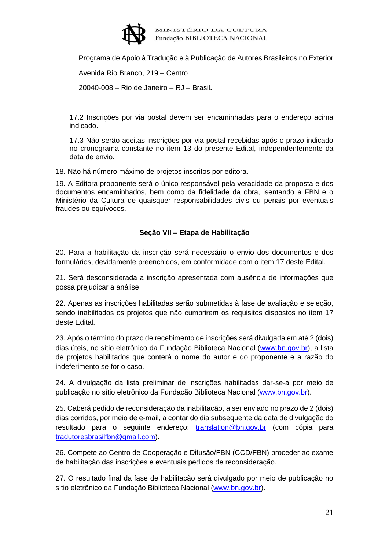

Programa de Apoio à Tradução e à Publicação de Autores Brasileiros no Exterior

Avenida Rio Branco, 219 – Centro

20040-008 – Rio de Janeiro – RJ – Brasil**.**

17.2 Inscrições por via postal devem ser encaminhadas para o endereço acima indicado.

17.3 Não serão aceitas inscrições por via postal recebidas após o prazo indicado no cronograma constante no item 13 do presente Edital, independentemente da data de envio.

18. Não há número máximo de projetos inscritos por editora.

19**.** A Editora proponente será o único responsável pela veracidade da proposta e dos documentos encaminhados, bem como da fidelidade da obra, isentando a FBN e o Ministério da Cultura de quaisquer responsabilidades civis ou penais por eventuais fraudes ou equívocos.

## **Seção VII – Etapa de Habilitação**

20. Para a habilitação da inscrição será necessário o envio dos documentos e dos formulários, devidamente preenchidos, em conformidade com o item 17 deste Edital.

21. Será desconsiderada a inscrição apresentada com ausência de informações que possa prejudicar a análise.

22. Apenas as inscrições habilitadas serão submetidas à fase de avaliação e seleção, sendo inabilitados os projetos que não cumprirem os requisitos dispostos no item 17 deste Edital.

23. Após o término do prazo de recebimento de inscrições será divulgada em até 2 (dois) dias úteis, no sítio eletrônico da Fundação Biblioteca Nacional [\(www.bn.gov.br\)](http://www.bn.br/), a lista de projetos habilitados que conterá o nome do autor e do proponente e a razão do indeferimento se for o caso.

24. A divulgação da lista preliminar de inscrições habilitadas dar-se-á por meio de publicação no sítio eletrônico da Fundação Biblioteca Nacional [\(www.bn.gov.br\)](http://www.bn.br/).

25. Caberá pedido de reconsideração da inabilitação, a ser enviado no prazo de 2 (dois) dias corridos, por meio de e-mail, a contar do dia subsequente da data de divulgação do resultado para o seguinte endereço: [translation@bn.gov.br](mailto:translation@bn.gov.br) (com cópia para [tradutoresbrasilfbn@gmail.com\)](tradutoresbrasilfbn@gmail.com).

26. Compete ao Centro de Cooperação e Difusão/FBN (CCD/FBN) proceder ao exame de habilitação das inscrições e eventuais pedidos de reconsideração.

27. O resultado final da fase de habilitação será divulgado por meio de publicação no sítio eletrônico da Fundação Biblioteca Nacional [\(www.bn.gov.br\)](http://www.bn.gov.br/).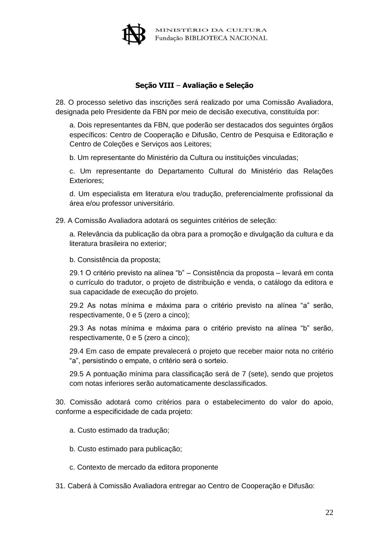

## **Seção VIII** – **Avaliação e Seleção**

28. O processo seletivo das inscrições será realizado por uma Comissão Avaliadora, designada pelo Presidente da FBN por meio de decisão executiva, constituída por:

a. Dois representantes da FBN, que poderão ser destacados dos seguintes órgãos específicos: Centro de Cooperação e Difusão, Centro de Pesquisa e Editoração e Centro de Coleções e Serviços aos Leitores;

b. Um representante do Ministério da Cultura ou instituições vinculadas;

c. Um representante do Departamento Cultural do Ministério das Relações Exteriores;

d. Um especialista em literatura e/ou tradução, preferencialmente profissional da área e/ou professor universitário.

29. A Comissão Avaliadora adotará os seguintes critérios de seleção:

a. Relevância da publicação da obra para a promoção e divulgação da cultura e da literatura brasileira no exterior;

b. Consistência da proposta;

29.1 O critério previsto na alínea "b" – Consistência da proposta – levará em conta o currículo do tradutor, o projeto de distribuição e venda, o catálogo da editora e sua capacidade de execução do projeto.

29.2 As notas mínima e máxima para o critério previsto na alínea "a" serão, respectivamente, 0 e 5 (zero a cinco);

29.3 As notas mínima e máxima para o critério previsto na alínea "b" serão, respectivamente, 0 e 5 (zero a cinco);

29.4 Em caso de empate prevalecerá o projeto que receber maior nota no critério "a", persistindo o empate, o critério será o sorteio.

29.5 A pontuação mínima para classificação será de 7 (sete), sendo que projetos com notas inferiores serão automaticamente desclassificados.

30. Comissão adotará como critérios para o estabelecimento do valor do apoio, conforme a especificidade de cada projeto:

a. Custo estimado da tradução;

b. Custo estimado para publicação;

c. Contexto de mercado da editora proponente

31. Caberá à Comissão Avaliadora entregar ao Centro de Cooperação e Difusão: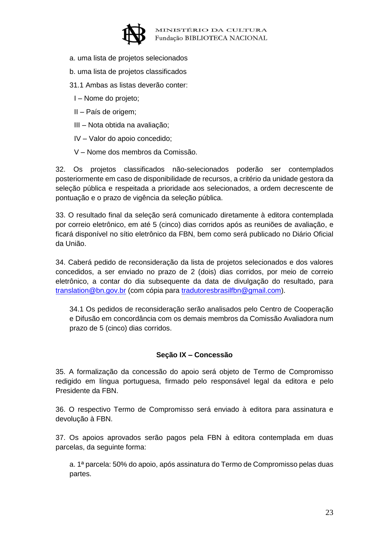

- a. uma lista de projetos selecionados
- b. uma lista de projetos classificados
- 31.1 Ambas as listas deverão conter:
	- I Nome do projeto;
	- II País de origem;
	- III Nota obtida na avaliação;
	- IV Valor do apoio concedido;
	- V Nome dos membros da Comissão.

32. Os projetos classificados não-selecionados poderão ser contemplados posteriormente em caso de disponibilidade de recursos, a critério da unidade gestora da seleção pública e respeitada a prioridade aos selecionados, a ordem decrescente de pontuação e o prazo de vigência da seleção pública.

33. O resultado final da seleção será comunicado diretamente à editora contemplada por correio eletrônico, em até 5 (cinco) dias corridos após as reuniões de avaliação, e ficará disponível no sítio eletrônico da FBN, bem como será publicado no Diário Oficial da União.

34. Caberá pedido de reconsideração da lista de projetos selecionados e dos valores concedidos, a ser enviado no prazo de 2 (dois) dias corridos, por meio de correio eletrônico, a contar do dia subsequente da data de divulgação do resultado, para [translation@bn.gov.br](mailto:translation@bn.gov.br) (com cópia para [tradutoresbrasilfbn@gmail.com\)](tradutoresbrasilfbn@gmail.com).

34.1 Os pedidos de reconsideração serão analisados pelo Centro de Cooperação e Difusão em concordância com os demais membros da Comissão Avaliadora num prazo de 5 (cinco) dias corridos.

#### **Seção IX – Concessão**

35. A formalização da concessão do apoio será objeto de Termo de Compromisso redigido em língua portuguesa, firmado pelo responsável legal da editora e pelo Presidente da FBN.

36. O respectivo Termo de Compromisso será enviado à editora para assinatura e devolução à FBN.

37. Os apoios aprovados serão pagos pela FBN à editora contemplada em duas parcelas, da seguinte forma:

a. 1ª parcela: 50% do apoio, após assinatura do Termo de Compromisso pelas duas partes.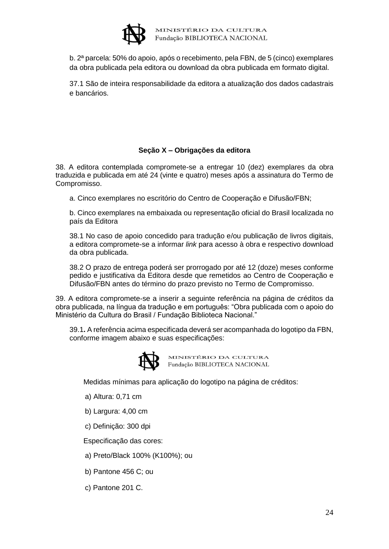

b. 2ª parcela: 50% do apoio, após o recebimento, pela FBN, de 5 (cinco) exemplares da obra publicada pela editora ou download da obra publicada em formato digital.

37.1 São de inteira responsabilidade da editora a atualização dos dados cadastrais e bancários.

## **Seção X – Obrigações da editora**

38. A editora contemplada compromete-se a entregar 10 (dez) exemplares da obra traduzida e publicada em até 24 (vinte e quatro) meses após a assinatura do Termo de Compromisso.

a. Cinco exemplares no escritório do Centro de Cooperação e Difusão/FBN;

b. Cinco exemplares na embaixada ou representação oficial do Brasil localizada no país da Editora

38.1 No caso de apoio concedido para tradução e/ou publicação de livros digitais, a editora compromete-se a informar *link* para acesso à obra e respectivo download da obra publicada.

38.2 O prazo de entrega poderá ser prorrogado por até 12 (doze) meses conforme pedido e justificativa da Editora desde que remetidos ao Centro de Cooperação e Difusão/FBN antes do término do prazo previsto no Termo de Compromisso.

39. A editora compromete-se a inserir a seguinte referência na página de créditos da obra publicada, na língua da tradução e em português: "Obra publicada com o apoio do Ministério da Cultura do Brasil / Fundação Biblioteca Nacional."

39.1**.** A referência acima especificada deverá ser acompanhada do logotipo da FBN, conforme imagem abaixo e suas especificações:



MINISTÉRIO DA CULTURA Fundação BIBLIOTECA NACIONAL

Medidas mínimas para aplicação do logotipo na página de créditos:

- a) Altura: 0,71 cm
- b) Largura: 4,00 cm
- c) Definição: 300 dpi

Especificação das cores:

- a) Preto/Black 100% (K100%); ou
- b) Pantone 456 C; ou
- c) Pantone 201 C.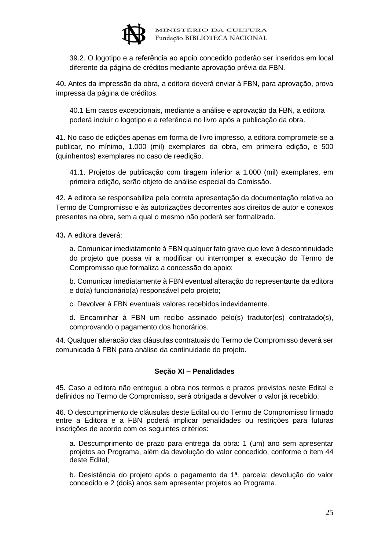

39.2. O logotipo e a referência ao apoio concedido poderão ser inseridos em local diferente da página de créditos mediante aprovação prévia da FBN.

40**.** Antes da impressão da obra, a editora deverá enviar à FBN, para aprovação, prova impressa da página de créditos.

40.1 Em casos excepcionais, mediante a análise e aprovação da FBN, a editora poderá incluir o logotipo e a referência no livro após a publicação da obra.

41. No caso de edições apenas em forma de livro impresso, a editora compromete-se a publicar, no mínimo, 1.000 (mil) exemplares da obra, em primeira edição, e 500 (quinhentos) exemplares no caso de reedição.

41.1. Projetos de publicação com tiragem inferior a 1.000 (mil) exemplares, em primeira edição, serão objeto de análise especial da Comissão.

42. A editora se responsabiliza pela correta apresentação da documentação relativa ao Termo de Compromisso e às autorizações decorrentes aos direitos de autor e conexos presentes na obra, sem a qual o mesmo não poderá ser formalizado.

43**.** A editora deverá:

a. Comunicar imediatamente à FBN qualquer fato grave que leve à descontinuidade do projeto que possa vir a modificar ou interromper a execução do Termo de Compromisso que formaliza a concessão do apoio;

b. Comunicar imediatamente à FBN eventual alteração do representante da editora e do(a) funcionário(a) responsável pelo projeto;

c. Devolver à FBN eventuais valores recebidos indevidamente.

d. Encaminhar à FBN um recibo assinado pelo(s) tradutor(es) contratado(s), comprovando o pagamento dos honorários.

44. Qualquer alteração das cláusulas contratuais do Termo de Compromisso deverá ser comunicada à FBN para análise da continuidade do projeto.

#### **Seção XI – Penalidades**

45. Caso a editora não entregue a obra nos termos e prazos previstos neste Edital e definidos no Termo de Compromisso, será obrigada a devolver o valor já recebido.

46. O descumprimento de cláusulas deste Edital ou do Termo de Compromisso firmado entre a Editora e a FBN poderá implicar penalidades ou restrições para futuras inscrições de acordo com os seguintes critérios:

a. Descumprimento de prazo para entrega da obra: 1 (um) ano sem apresentar projetos ao Programa, além da devolução do valor concedido, conforme o item 44 deste Edital;

b. Desistência do projeto após o pagamento da 1ª. parcela: devolução do valor concedido e 2 (dois) anos sem apresentar projetos ao Programa.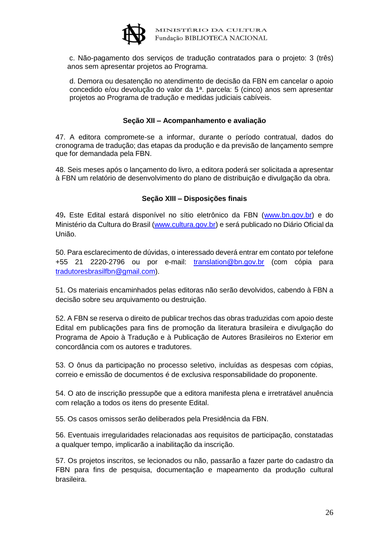

c. Não-pagamento dos serviços de tradução contratados para o projeto: 3 (três) anos sem apresentar projetos ao Programa.

d. Demora ou desatenção no atendimento de decisão da FBN em cancelar o apoio concedido e/ou devolução do valor da 1ª. parcela: 5 (cinco) anos sem apresentar projetos ao Programa de tradução e medidas judiciais cabíveis.

#### **Seção XII – Acompanhamento e avaliação**

47. A editora compromete-se a informar, durante o período contratual, dados do cronograma de tradução; das etapas da produção e da previsão de lançamento sempre que for demandada pela FBN.

48. Seis meses após o lançamento do livro, a editora poderá ser solicitada a apresentar à FBN um relatório de desenvolvimento do plano de distribuição e divulgação da obra.

## **Seção XIII – Disposições finais**

49**.** Este Edital estará disponível no sítio eletrônico da FBN (www.bn.gov.br) e do Ministério da Cultura do Brasil [\(www.cultura.gov.br\)](http://www.cultura.gov.br/) e será publicado no Diário Oficial da União.

50. Para esclarecimento de dúvidas, o interessado deverá entrar em contato por telefone +55 21 2220-2796 ou por e-mail: [translation@bn.gov.br](mailto:translation@bn.gov.br) (com cópia para [tradutoresbrasilfbn@gmail.com\)](tradutoresbrasilfbn@gmail.com).

51. Os materiais encaminhados pelas editoras não serão devolvidos, cabendo à FBN a decisão sobre seu arquivamento ou destruição.

52. A FBN se reserva o direito de publicar trechos das obras traduzidas com apoio deste Edital em publicações para fins de promoção da literatura brasileira e divulgação do Programa de Apoio à Tradução e à Publicação de Autores Brasileiros no Exterior em concordância com os autores e tradutores.

53. O ônus da participação no processo seletivo, incluídas as despesas com cópias, correio e emissão de documentos é de exclusiva responsabilidade do proponente.

54. O ato de inscrição pressupõe que a editora manifesta plena e irretratável anuência com relação a todos os itens do presente Edital.

55. Os casos omissos serão deliberados pela Presidência da FBN.

56. Eventuais irregularidades relacionadas aos requisitos de participação, constatadas a qualquer tempo, implicarão a inabilitação da inscrição.

57. Os projetos inscritos, se lecionados ou não, passarão a fazer parte do cadastro da FBN para fins de pesquisa, documentação e mapeamento da produção cultural brasileira.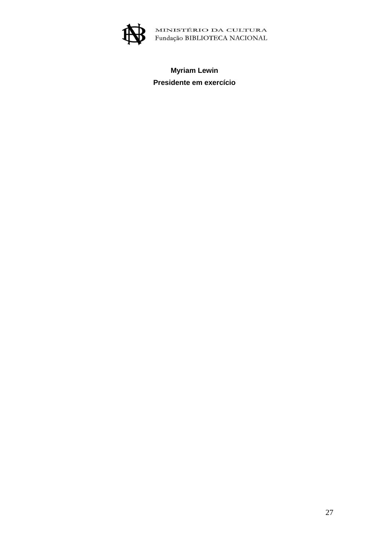

# **Myriam Lewin Presidente em exercício**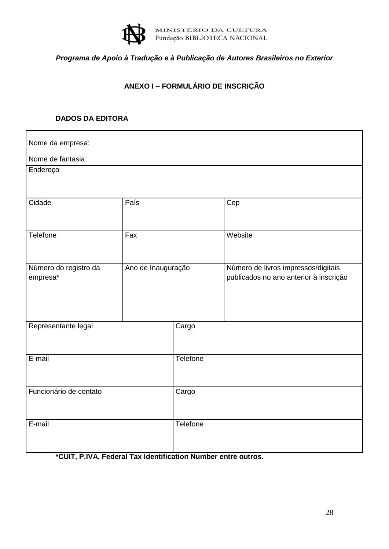

# *Programa de Apoio à Tradução e à Publicação de Autores Brasileiros no Exterior*

# **ANEXO I – FORMULÁRIO DE INSCRIÇÃO**

## **DADOS DA EDITORA**

| Nome da empresa:                  |                    |          |                                                                               |  |  |  |  |
|-----------------------------------|--------------------|----------|-------------------------------------------------------------------------------|--|--|--|--|
| Nome de fantasia:                 |                    |          |                                                                               |  |  |  |  |
| Endereço                          |                    |          |                                                                               |  |  |  |  |
|                                   |                    |          |                                                                               |  |  |  |  |
| Cidade                            | País               |          | Cep                                                                           |  |  |  |  |
|                                   |                    |          |                                                                               |  |  |  |  |
| Telefone                          | Fax                |          | Website                                                                       |  |  |  |  |
|                                   |                    |          |                                                                               |  |  |  |  |
| Número do registro da<br>empresa* | Ano de Inauguração |          | Número de livros impressos/digitais<br>publicados no ano anterior à inscrição |  |  |  |  |
|                                   |                    |          |                                                                               |  |  |  |  |
|                                   |                    |          |                                                                               |  |  |  |  |
|                                   |                    |          |                                                                               |  |  |  |  |
| Representante legal               |                    | Cargo    |                                                                               |  |  |  |  |
|                                   |                    |          |                                                                               |  |  |  |  |
| E-mail                            |                    | Telefone |                                                                               |  |  |  |  |
|                                   |                    |          |                                                                               |  |  |  |  |
| Funcionário de contato            |                    | Cargo    |                                                                               |  |  |  |  |
|                                   |                    |          |                                                                               |  |  |  |  |
| E-mail                            |                    | Telefone |                                                                               |  |  |  |  |
|                                   |                    |          |                                                                               |  |  |  |  |

**\*CUIT, P.IVA, Federal Tax Identification Number entre outros.**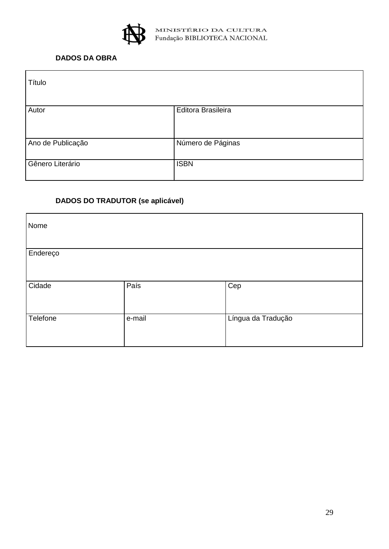

# **DADOS DA OBRA**

| Título            |                    |
|-------------------|--------------------|
| Autor             | Editora Brasileira |
| Ano de Publicação | Número de Páginas  |
| Gênero Literário  | <b>ISBN</b>        |

# **DADOS DO TRADUTOR (se aplicável)**

| Nome     |        |                    |
|----------|--------|--------------------|
| Endereço |        |                    |
| Cidade   | País   | Cep                |
| Telefone | e-mail | Língua da Tradução |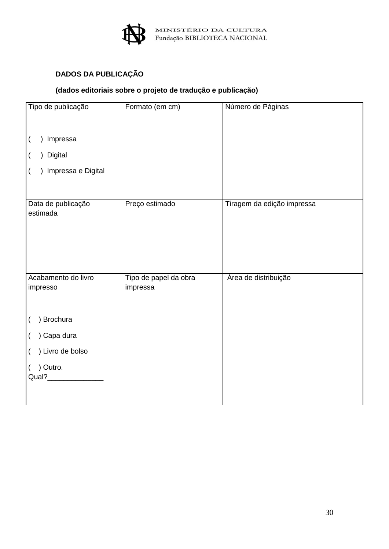

# **DADOS DA PUBLICAÇÃO**

# **(dados editoriais sobre o projeto de tradução e publicação)**

| Tipo de publicação                     | Formato (em cm)                   | Número de Páginas          |  |  |  |
|----------------------------------------|-----------------------------------|----------------------------|--|--|--|
|                                        |                                   |                            |  |  |  |
| Impressa<br>$\overline{(}$             |                                   |                            |  |  |  |
| ) Digital<br>$\overline{(}$            |                                   |                            |  |  |  |
| ) Impressa e Digital<br>$\overline{(}$ |                                   |                            |  |  |  |
|                                        |                                   |                            |  |  |  |
| Data de publicação<br>estimada         | Preço estimado                    | Tiragem da edição impressa |  |  |  |
|                                        |                                   |                            |  |  |  |
| Acabamento do livro<br>impresso        | Tipo de papel da obra<br>impressa | Área de distribuição       |  |  |  |
| ) Brochura<br>$\left($                 |                                   |                            |  |  |  |
| ) Capa dura<br>$\left($                |                                   |                            |  |  |  |
| ) Livro de bolso<br>$\left($           |                                   |                            |  |  |  |
| ) Outro.<br>$\left($                   |                                   |                            |  |  |  |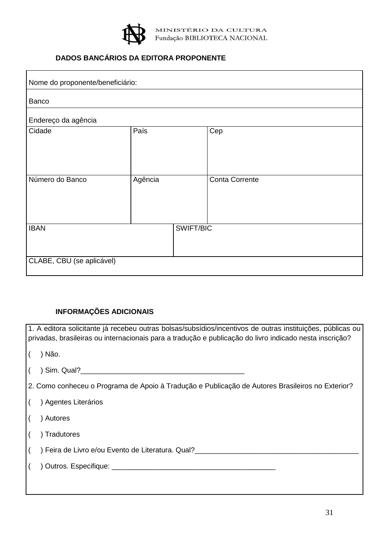

# **DADOS BANCÁRIOS DA EDITORA PROPONENTE**

| Nome do proponente/beneficiário: |           |                       |  |  |
|----------------------------------|-----------|-----------------------|--|--|
| Banco                            |           |                       |  |  |
| Endereço da agência              |           |                       |  |  |
| Cidade                           | País      | Cep                   |  |  |
|                                  |           |                       |  |  |
|                                  |           |                       |  |  |
| Número do Banco                  | Agência   | <b>Conta Corrente</b> |  |  |
|                                  |           |                       |  |  |
|                                  |           |                       |  |  |
| <b>IBAN</b>                      | SWIFT/BIC |                       |  |  |
|                                  |           |                       |  |  |
| CLABE, CBU (se aplicável)        |           |                       |  |  |
|                                  |           |                       |  |  |

# **INFORMAÇÕES ADICIONAIS**

| 1. A editora solicitante já recebeu outras bolsas/subsídios/incentivos de outras instituições, públicas ou<br>privadas, brasileiras ou internacionais para a tradução e publicação do livro indicado nesta inscrição? |  |  |  |  |
|-----------------------------------------------------------------------------------------------------------------------------------------------------------------------------------------------------------------------|--|--|--|--|
| ) Não.                                                                                                                                                                                                                |  |  |  |  |
|                                                                                                                                                                                                                       |  |  |  |  |
| 2. Como conheceu o Programa de Apoio à Tradução e Publicação de Autores Brasileiros no Exterior?                                                                                                                      |  |  |  |  |
| ) Agentes Literários                                                                                                                                                                                                  |  |  |  |  |
| ) Autores                                                                                                                                                                                                             |  |  |  |  |
| ) Tradutores                                                                                                                                                                                                          |  |  |  |  |
| ) Feira de Livro e/ou Evento de Literatura. Qual?_______________________________                                                                                                                                      |  |  |  |  |
|                                                                                                                                                                                                                       |  |  |  |  |
|                                                                                                                                                                                                                       |  |  |  |  |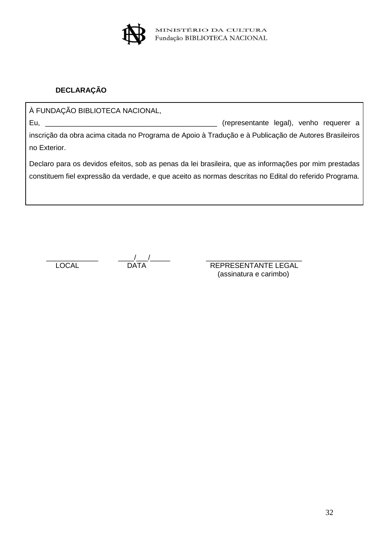

# **DECLARAÇÃO**

À FUNDAÇÃO BIBLIOTECA NACIONAL, Eu, \_\_\_\_\_\_\_\_\_\_\_\_\_\_\_\_\_\_\_\_\_\_\_\_\_\_\_\_\_\_\_\_\_\_\_\_\_\_\_\_\_\_\_ (representante legal), venho requerer a

inscrição da obra acima citada no Programa de Apoio à Tradução e à Publicação de Autores Brasileiros no Exterior.

Declaro para os devidos efeitos, sob as penas da lei brasileira, que as informações por mim prestadas constituem fiel expressão da verdade, e que aceito as normas descritas no Edital do referido Programa.

\_\_\_\_\_\_\_\_\_\_\_\_\_ \_\_\_\_/\_\_\_/\_\_\_\_\_ \_\_\_\_\_\_\_\_\_\_\_\_\_\_\_\_\_\_\_\_\_\_\_\_

LOCAL DATA REPRESENTANTE LEGAL (assinatura e carimbo)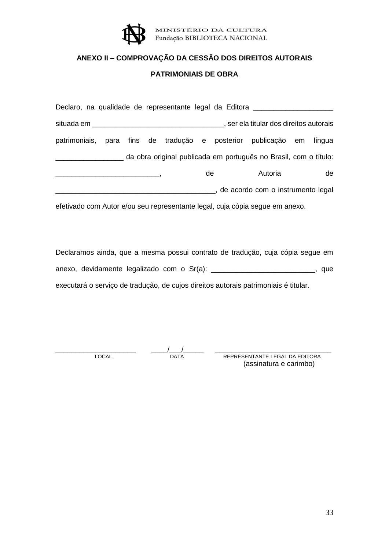

# **ANEXO II – COMPROVAÇÃO DA CESSÃO DOS DIREITOS AUTORAIS**

#### **PATRIMONIAIS DE OBRA**

| Declaro, na qualidade de representante legal da Editora              |  |  |  |    |                                       |  |    |
|----------------------------------------------------------------------|--|--|--|----|---------------------------------------|--|----|
|                                                                      |  |  |  |    | ser ela titular dos direitos autorais |  |    |
| patrimoniais, para fins de tradução e posterior publicação em língua |  |  |  |    |                                       |  |    |
| da obra original publicada em português no Brasil, com o título:     |  |  |  |    |                                       |  |    |
|                                                                      |  |  |  | de | Autoria                               |  | de |
|                                                                      |  |  |  |    | state acordo com o instrumento legal  |  |    |

efetivado com Autor e/ou seu representante legal, cuja cópia segue em anexo.

Declaramos ainda, que a mesma possui contrato de tradução, cuja cópia segue em anexo, devidamente legalizado com o Sr(a): \_\_\_\_\_\_\_\_\_\_\_\_\_\_\_\_\_\_\_\_\_\_\_\_\_\_, que executará o serviço de tradução, de cujos direitos autorais patrimoniais é titular.

\_\_\_\_\_\_\_\_\_\_\_\_\_\_\_\_\_\_\_\_ \_\_\_\_/\_\_\_/\_\_\_\_\_ \_\_\_\_\_\_\_\_\_\_\_\_\_\_\_\_\_\_\_\_\_\_\_\_\_\_\_\_\_

 LOCAL DATA REPRESENTANTE LEGAL DA EDITORA (assinatura e carimbo)